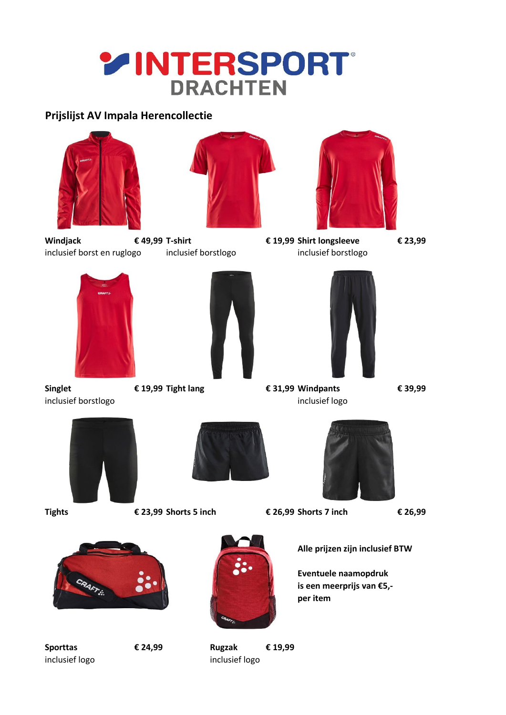# **YINTERSPORT DRACHTEN**

### **Prijslijst AV Impala Herencollectie**







**Windjack € 49,99 T-shirt € 19,99 Shirt longsleeve € 23,99** inclusief borst en ruglogo inclusief borstlogo inclusief borstlogo







**Singlet € 19,99 Tight lang € 31,99 Windpants € 39,99**

- 
- inclusief borstlogo inclusief logo inclusief logo



**Tights € 23,99 Shorts 5 inch € 26,99 Shorts 7 inch € 26,99**





**Alle prijzen zijn inclusief BTW**

**Eventuele naamopdruk is een meerprijs van €5, per item**





**Sporttas € 24,99 Rugzak € 19,99** inclusief logo inclusief logo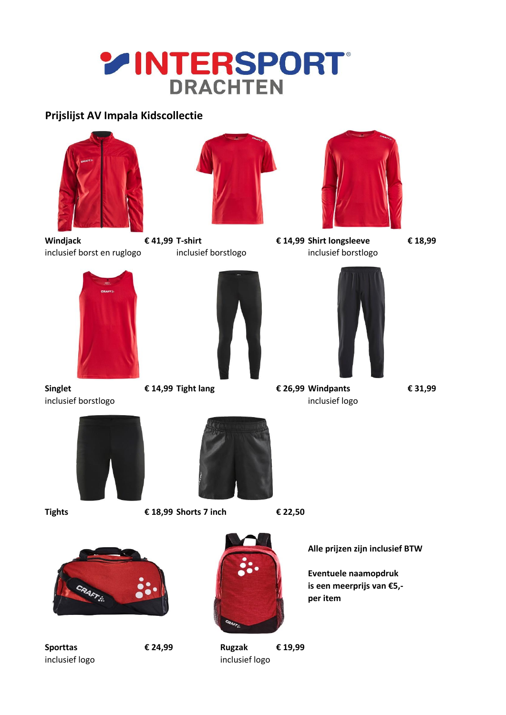## **YINTERSPORT DRACHTEN**

## **Prijslijst AV Impala Kidscollectie**







**Windjack € 41,99 T-shirt € 14,99 Shirt longsleeve € 18,99** inclusief borst en ruglogo inclusief borstlogo inclusief borstlogo







**Singlet € 14,99 Tight lang € 26,99 Windpants € 31,99** inclusief borstlogo inclusief logo inclusief logo





**Tights € 18,99 Shorts 7 inch € 22,50**







**Sporttas € 24,99 Rugzak € 19,99** inclusief logo inclusief logo

**Alle prijzen zijn inclusief BTW**

**Eventuele naamopdruk is een meerprijs van €5, per item**